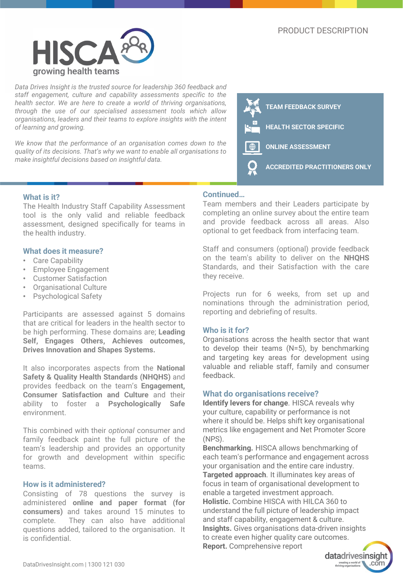

*Data Drives Insight is the trusted source for leadership 360 feedback and staff engagement, culture and capability assessments specific to the health sector. We are here to create a world of thriving organisations, through the use of our specialised assessment tools which allow organisations, leaders and their teams to explore insights with the intent of learning and growing.*

*We know that the performance of an organisation comes down to the quality of its decisions. That's why we want to enable all organisations to make insightful decisions based on insightful data.*



## **What is it?**

The Health Industry Staff Capability Assessment tool is the only valid and reliable feedback assessment, designed specifically for teams in the health industry.

#### **What does it measure?**

- Care Capability
- Employee Engagement
- Customer Satisfaction
- Organisational Culture
- Psychological Safety

Participants are assessed against 5 domains that are critical for leaders in the health sector to be high performing. These domains are; **Leading Self, Engages Others, Achieves outcomes, Drives Innovation and Shapes Systems.**

It also incorporates aspects from the **National Safety & Quality Health Standards (NHQHS)** and provides feedback on the team's **Engagement, Consumer Satisfaction and Culture** and their ability to foster a **Psychologically Safe** environment.

This combined with their *optional* consumer and family feedback paint the full picture of the team's leadership and provides an opportunity for growth and development within specific teams.

#### **How is it administered?**

Consisting of 78 questions the survey is administered **online and paper format (for consumers)** and takes around 15 minutes to complete. They can also have additional questions added, tailored to the organisation. It is confidential.

#### **Continued…**

Team members and their Leaders participate by completing an online survey about the entire team and provide feedback across all areas. Also optional to get feedback from interfacing team.

Staff and consumers (optional) provide feedback on the team's ability to deliver on the **NHQHS** Standards, and their Satisfaction with the care they receive.

Projects run for 6 weeks, from set up and nominations through the administration period, reporting and debriefing of results.

#### **Who is it for?**

Organisations across the health sector that want to develop their teams (N=5), by benchmarking and targeting key areas for development using valuable and reliable staff, family and consumer feedback.

### **What do organisations receive?**

**Identify levers for change**. HISCA reveals why your culture, capability or performance is not where it should be. Helps shift key organisational metrics like engagement and Net Promoter Score (NPS).

**Benchmarking.** HISCA allows benchmarking of each team's performance and engagement across your organisation and the entire care industry. **Targeted approach**. It illuminates key areas of focus in team of organisational development to enable a targeted investment approach. **Holistic.** Combine HISCA with HILCA 360 to understand the full picture of leadership impact and staff capability, engagement & culture. **Insights.** Gives organisations data-driven insights to create even higher quality care outcomes. **Report.** Comprehensive report